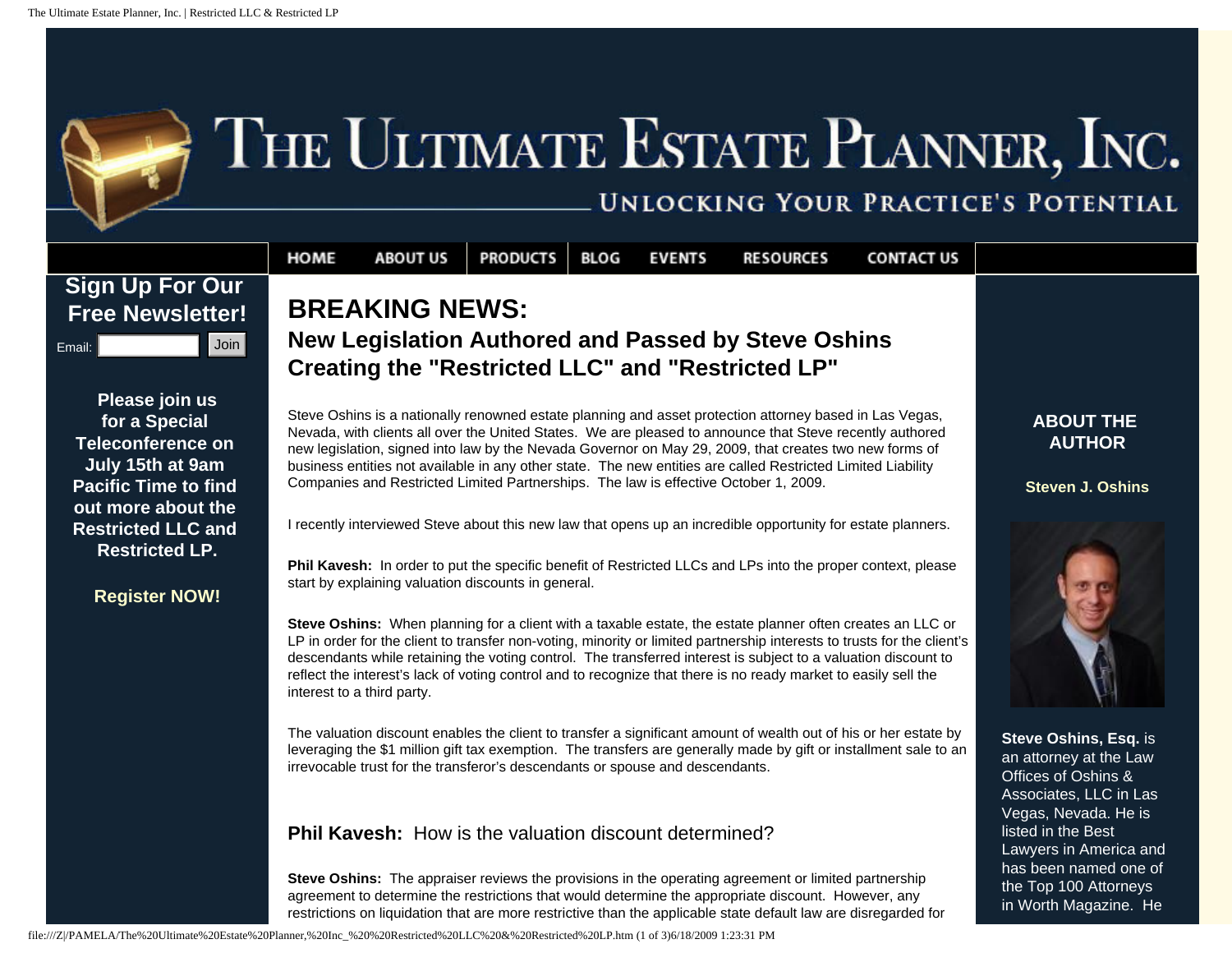## THE ULTIMATE ESTATE PLANNER, INC.

## UNLOCKING YOUR PRACTICE'S POTENTIAL

**CONTACT US** 



## **ABOUT THE AUTHOR**

**Steven J. Oshins** 



**Steve Oshins, Esq.** is an attorney at the Law Offices of Oshins & Associates, LLC in Las Vegas, Nevada. He is listed in the Best Lawyers in America and has been named one of the Top 100 Attorneys in Worth Magazine. He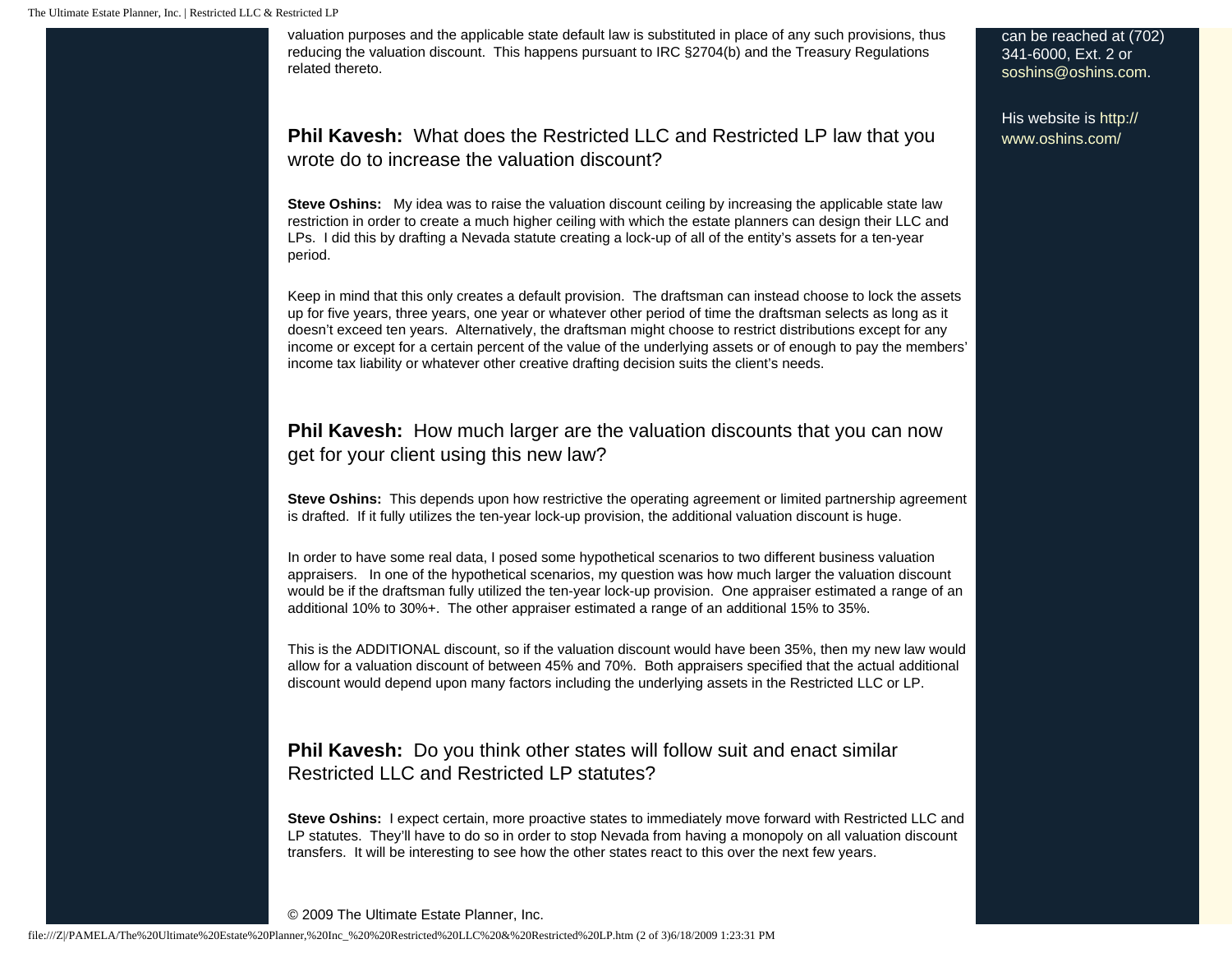valuation purposes and the applicable state default law is substituted in place of any such provisions, thus reducing the valuation discount. This happens pursuant to IRC §2704(b) and the Treasury Regulations related thereto.

**Phil Kavesh:** What does the Restricted LLC and Restricted LP law that you wrote do to increase the valuation discount?

**Steve Oshins:** My idea was to raise the valuation discount ceiling by increasing the applicable state law restriction in order to create a much higher ceiling with which the estate planners can design their LLC and LPs. I did this by drafting a Nevada statute creating a lock-up of all of the entity's assets for a ten-year period.

Keep in mind that this only creates a default provision. The draftsman can instead choose to lock the assets up for five years, three years, one year or whatever other period of time the draftsman selects as long as it doesn't exceed ten years. Alternatively, the draftsman might choose to restrict distributions except for any income or except for a certain percent of the value of the underlying assets or of enough to pay the members' income tax liability or whatever other creative drafting decision suits the client's needs.

**Phil Kavesh:** How much larger are the valuation discounts that you can now get for your client using this new law?

**Steve Oshins:** This depends upon how restrictive the operating agreement or limited partnership agreement is drafted. If it fully utilizes the ten-year lock-up provision, the additional valuation discount is huge.

In order to have some real data, I posed some hypothetical scenarios to two different business valuation appraisers. In one of the hypothetical scenarios, my question was how much larger the valuation discount would be if the draftsman fully utilized the ten-year lock-up provision. One appraiser estimated a range of an additional 10% to 30%+. The other appraiser estimated a range of an additional 15% to 35%.

This is the ADDITIONAL discount, so if the valuation discount would have been 35%, then my new law would allow for a valuation discount of between 45% and 70%. Both appraisers specified that the actual additional discount would depend upon many factors including the underlying assets in the Restricted LLC or LP.

**Phil Kavesh:** Do you think other states will follow suit and enact similar Restricted LLC and Restricted LP statutes?

**Steve Oshins:** I expect certain, more proactive states to immediately move forward with Restricted LLC and LP statutes. They'll have to do so in order to stop Nevada from having a monopoly on all valuation discount transfers. It will be interesting to see how the other states react to this over the next few years.

© 2009 The Ultimate Estate Planner, Inc.

can be reached at (702) 341-6000, Ext. 2 or [soshins@oshins.com](mailto:soshins@oshins.com).

His website is [http://](http://www.oshins.com/) [www.oshins.com/](http://www.oshins.com/)